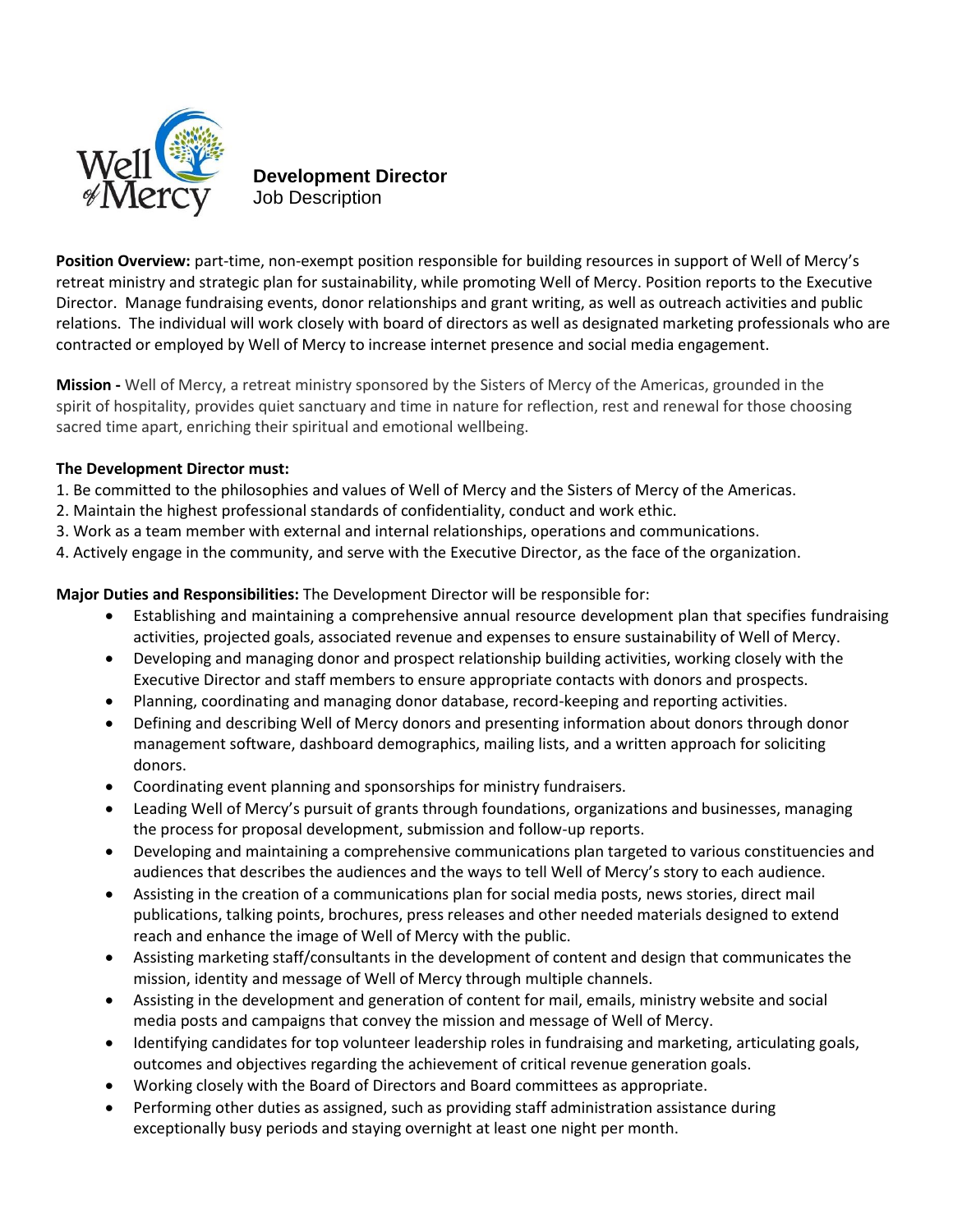

## **Development Director** Job Description

**Position Overview:** part-time, non-exempt position responsible for building resources in support of Well of Mercy's retreat ministry and strategic plan for sustainability, while promoting Well of Mercy. Position reports to the Executive Director. Manage fundraising events, donor relationships and grant writing, as well as outreach activities and public relations. The individual will work closely with board of directors as well as designated marketing professionals who are contracted or employed by Well of Mercy to increase internet presence and social media engagement.

**Mission -** Well of Mercy, a retreat ministry sponsored by the Sisters of Mercy of the Americas, grounded in the spirit of hospitality, provides quiet sanctuary and time in nature for reflection, rest and renewal for those choosing sacred time apart, enriching their spiritual and emotional wellbeing.

## **The Development Director must:**

- 1. Be committed to the philosophies and values of Well of Mercy and the Sisters of Mercy of the Americas.
- 2. Maintain the highest professional standards of confidentiality, conduct and work ethic.
- 3. Work as a team member with external and internal relationships, operations and communications.
- 4. Actively engage in the community, and serve with the Executive Director, as the face of the organization.

**Major Duties and Responsibilities:** The Development Director will be responsible for:

- Establishing and maintaining a comprehensive annual resource development plan that specifies fundraising activities, projected goals, associated revenue and expenses to ensure sustainability of Well of Mercy.
- Developing and managing donor and prospect relationship building activities, working closely with the Executive Director and staff members to ensure appropriate contacts with donors and prospects.
- Planning, coordinating and managing donor database, record-keeping and reporting activities.
- Defining and describing Well of Mercy donors and presenting information about donors through donor management software, dashboard demographics, mailing lists, and a written approach for soliciting donors.
- Coordinating event planning and sponsorships for ministry fundraisers.
- Leading Well of Mercy's pursuit of grants through foundations, organizations and businesses, managing the process for proposal development, submission and follow-up reports.
- Developing and maintaining a comprehensive communications plan targeted to various constituencies and audiences that describes the audiences and the ways to tell Well of Mercy's story to each audience.
- Assisting in the creation of a communications plan for social media posts, news stories, direct mail publications, talking points, brochures, press releases and other needed materials designed to extend reach and enhance the image of Well of Mercy with the public.
- Assisting marketing staff/consultants in the development of content and design that communicates the mission, identity and message of Well of Mercy through multiple channels.
- Assisting in the development and generation of content for mail, emails, ministry website and social media posts and campaigns that convey the mission and message of Well of Mercy.
- Identifying candidates for top volunteer leadership roles in fundraising and marketing, articulating goals, outcomes and objectives regarding the achievement of critical revenue generation goals.
- Working closely with the Board of Directors and Board committees as appropriate.
- Performing other duties as assigned, such as providing staff administration assistance during exceptionally busy periods and staying overnight at least one night per month.